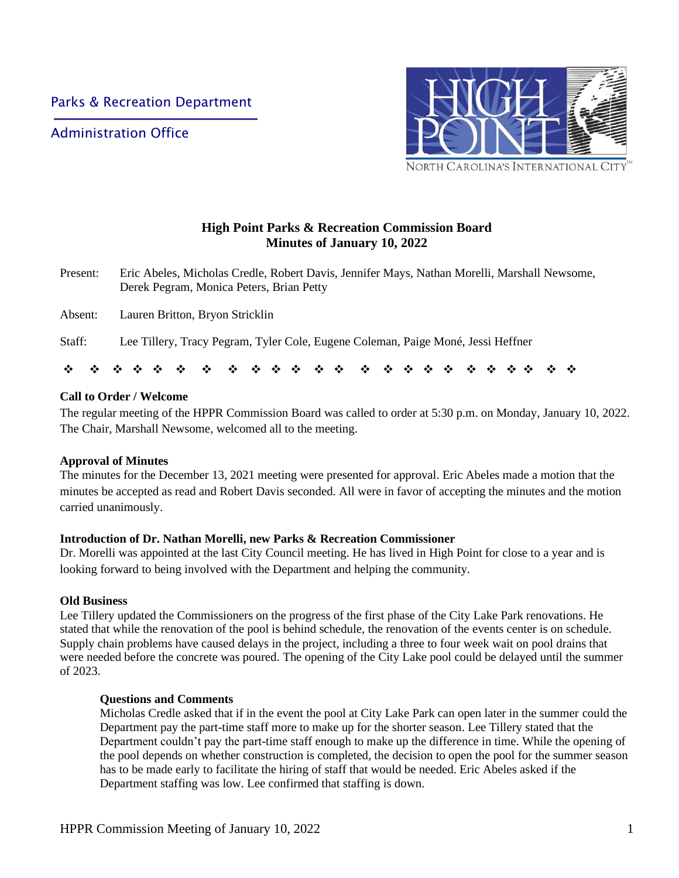Administration Office



# **High Point Parks & Recreation Commission Board Minutes of January 10, 2022**

- Present: Eric Abeles, Micholas Credle, Robert Davis, Jennifer Mays, Nathan Morelli, Marshall Newsome, Derek Pegram, Monica Peters, Brian Petty
- Absent: Lauren Britton, Bryon Stricklin
- Staff: Lee Tillery, Tracy Pegram, Tyler Cole, Eugene Coleman, Paige Moné, Jessi Heffner

❖ ❖ ❖ ❖ ❖ ❖ ❖ ❖ ❖ ❖ ❖ ❖ ❖ ❖ ❖ ❖ ❖ ❖ ❖ ❖ ❖ ❖ ❖ ❖

## **Call to Order / Welcome**

The regular meeting of the HPPR Commission Board was called to order at 5:30 p.m. on Monday, January 10, 2022. The Chair, Marshall Newsome, welcomed all to the meeting.

## **Approval of Minutes**

The minutes for the December 13, 2021 meeting were presented for approval. Eric Abeles made a motion that the minutes be accepted as read and Robert Davis seconded. All were in favor of accepting the minutes and the motion carried unanimously.

## **Introduction of Dr. Nathan Morelli, new Parks & Recreation Commissioner**

Dr. Morelli was appointed at the last City Council meeting. He has lived in High Point for close to a year and is looking forward to being involved with the Department and helping the community.

## **Old Business**

Lee Tillery updated the Commissioners on the progress of the first phase of the City Lake Park renovations. He stated that while the renovation of the pool is behind schedule, the renovation of the events center is on schedule. Supply chain problems have caused delays in the project, including a three to four week wait on pool drains that were needed before the concrete was poured. The opening of the City Lake pool could be delayed until the summer of 2023.

## **Questions and Comments**

Micholas Credle asked that if in the event the pool at City Lake Park can open later in the summer could the Department pay the part-time staff more to make up for the shorter season. Lee Tillery stated that the Department couldn't pay the part-time staff enough to make up the difference in time. While the opening of the pool depends on whether construction is completed, the decision to open the pool for the summer season has to be made early to facilitate the hiring of staff that would be needed. Eric Abeles asked if the Department staffing was low. Lee confirmed that staffing is down.